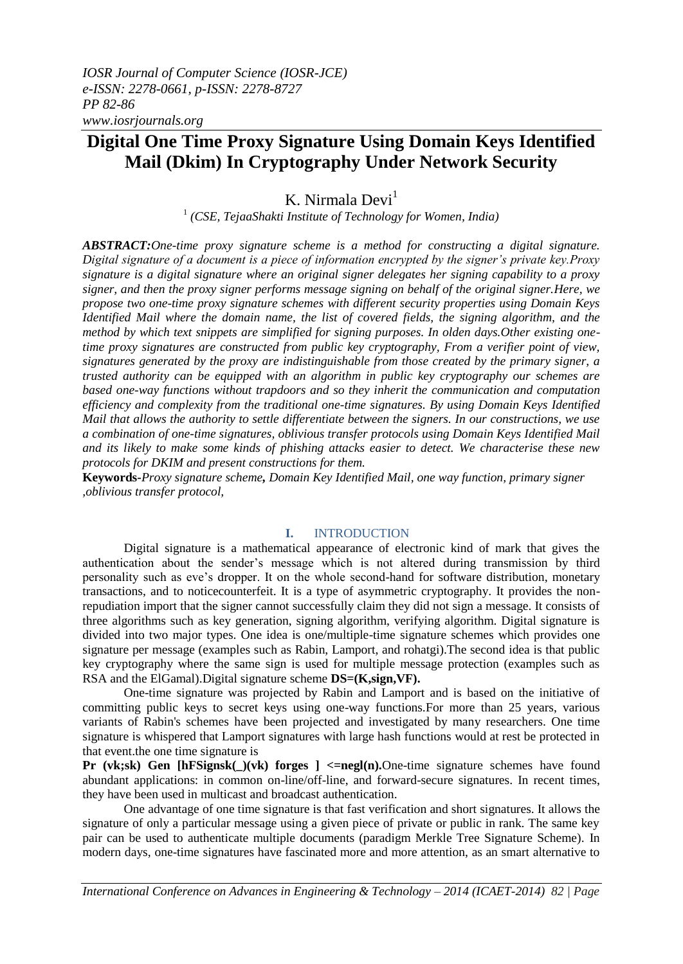# **Digital One Time Proxy Signature Using Domain Keys Identified Mail (Dkim) In Cryptography Under Network Security**

K. Nirmala Devi<sup>1</sup>

1 *(CSE, TejaaShakti Institute of Technology for Women, India)*

*ABSTRACT:One-time proxy signature scheme is a method for constructing a digital signature. Digital signature of a document is a piece of information encrypted by the signer's private key.Proxy signature is a digital signature where an original signer delegates her signing capability to a proxy signer, and then the proxy signer performs message signing on behalf of the original signer.Here, we propose two one-time proxy signature schemes with different security properties using Domain Keys Identified Mail where the domain name, the list of covered fields, the signing algorithm, and the method by which text snippets are simplified for signing purposes. In olden days.Other existing onetime proxy signatures are constructed from public key cryptography, From a verifier point of view, signatures generated by the proxy are indistinguishable from those created by the primary signer, a trusted authority can be equipped with an algorithm in public key cryptography our schemes are based one-way functions without trapdoors and so they inherit the communication and computation efficiency and complexity from the traditional one-time signatures. By using Domain Keys Identified Mail that allows the authority to settle differentiate between the signers. In our constructions, we use a combination of one-time signatures, oblivious transfer protocols using Domain Keys Identified Mail and its likely to make some kinds of phishing attacks easier to detect. We characterise these new protocols for DKIM and present constructions for them.*

**Keywords-***Proxy signature scheme, Domain Key Identified Mail, one way function, primary signer ,oblivious transfer protocol,*

#### **I.** INTRODUCTION

Digital signature is a mathematical appearance of electronic kind of mark that gives the authentication about the sender's message which is not altered during transmission by third personality such as eve's dropper. It on the whole second-hand for software distribution, monetary transactions, and to noticecounterfeit. It is a type of asymmetric cryptography. It provides the nonrepudiation import that the signer cannot successfully claim they did not sign a message. It consists of three algorithms such as key generation, signing algorithm, verifying algorithm. Digital signature is divided into two major types. One idea is one/multiple-time signature schemes which provides one signature per message (examples such as Rabin, Lamport, and rohatgi).The second idea is that public key cryptography where the same sign is used for multiple message protection (examples such as RSA and the ElGamal).Digital signature scheme **DS=(K,sign,VF).**

One-time signature was projected by Rabin and Lamport and is based on the initiative of committing public keys to secret keys using one-way functions*.*For more than 25 years, various variants of Rabin's schemes have been projected and investigated by many researchers. One time signature is whispered that Lamport signatures with large hash functions would at rest be protected in that event.the one time signature is

**Pr (vk;sk) Gen [hFSignsk(\_)(vk) forges ] <=negl(n).**One-time signature schemes have found abundant applications: in common on-line/off-line, and forward-secure signatures. In recent times, they have been used in multicast and broadcast authentication.

One advantage of one time signature is that fast verification and short signatures. It allows the signature of only a particular message using a given piece of private or public in rank. The same key pair can be used to authenticate multiple documents (paradigm Merkle Tree Signature Scheme). In modern days, one-time signatures have fascinated more and more attention, as an smart alternative to

*International Conference on Advances in Engineering & Technology – 2014 (ICAET-2014) 82 | Page*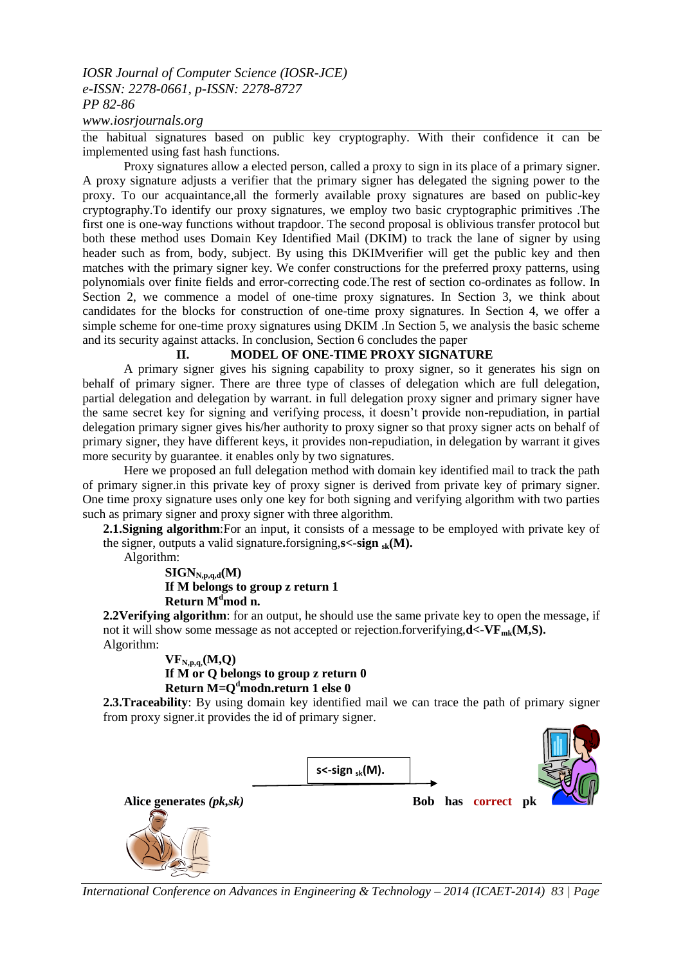# *IOSR Journal of Computer Science (IOSR-JCE) e-ISSN: 2278-0661, p-ISSN: 2278-8727 PP 82-86*

#### *www.iosrjournals.org*

the habitual signatures based on public key cryptography. With their confidence it can be implemented using fast hash functions.

Proxy signatures allow a elected person, called a proxy to sign in its place of a primary signer. A proxy signature adjusts a verifier that the primary signer has delegated the signing power to the proxy. To our acquaintance,all the formerly available proxy signatures are based on public-key cryptography.To identify our proxy signatures, we employ two basic cryptographic primitives .The first one is one-way functions without trapdoor. The second proposal is oblivious transfer protocol but both these method uses Domain Key Identified Mail (DKIM) to track the lane of signer by using header such as from, body, subject. By using this DKIMverifier will get the public key and then matches with the primary signer key. We confer constructions for the preferred proxy patterns, using polynomials over finite fields and error-correcting code.The rest of section co-ordinates as follow. In Section 2, we commence a model of one-time proxy signatures. In Section 3, we think about candidates for the blocks for construction of one-time proxy signatures. In Section 4, we offer a simple scheme for one-time proxy signatures using DKIM .In Section 5, we analysis the basic scheme and its security against attacks. In conclusion, Section 6 concludes the paper

### **II. MODEL OF ONE-TIME PROXY SIGNATURE**

A primary signer gives his signing capability to proxy signer, so it generates his sign on behalf of primary signer. There are three type of classes of delegation which are full delegation, partial delegation and delegation by warrant. in full delegation proxy signer and primary signer have the same secret key for signing and verifying process, it doesn't provide non-repudiation, in partial delegation primary signer gives his/her authority to proxy signer so that proxy signer acts on behalf of primary signer, they have different keys, it provides non-repudiation, in delegation by warrant it gives more security by guarantee. it enables only by two signatures.

Here we proposed an full delegation method with domain key identified mail to track the path of primary signer.in this private key of proxy signer is derived from private key of primary signer. One time proxy signature uses only one key for both signing and verifying algorithm with two parties such as primary signer and proxy signer with three algorithm.

**2.1.Signing algorithm**: For an input, it consists of a message to be employed with private key of the signer, outputs a valid signature.forsigning, $s <$ -sign  $_{sk}(M)$ .

Algorithm:

 $SIGN_{N,p,q,d}(M)$ **If M belongs to group z return 1 Return M<sup>d</sup>mod n.**

**2.2Verifying algorithm**: for an output, he should use the same private key to open the message, if not it will show some message as not accepted or rejection.forverifying,**d**<-VF<sub>mk</sub>(M,S). Algorithm:

**VFN,p,q,(M,Q) If M or Q belongs to group z return 0 Return M=Q<sup>d</sup>modn.return 1 else 0**

**2.3.Traceability**: By using domain key identified mail we can trace the path of primary signer from proxy signer.it provides the id of primary signer.



*International Conference on Advances in Engineering & Technology – 2014 (ICAET-2014) 83 | Page*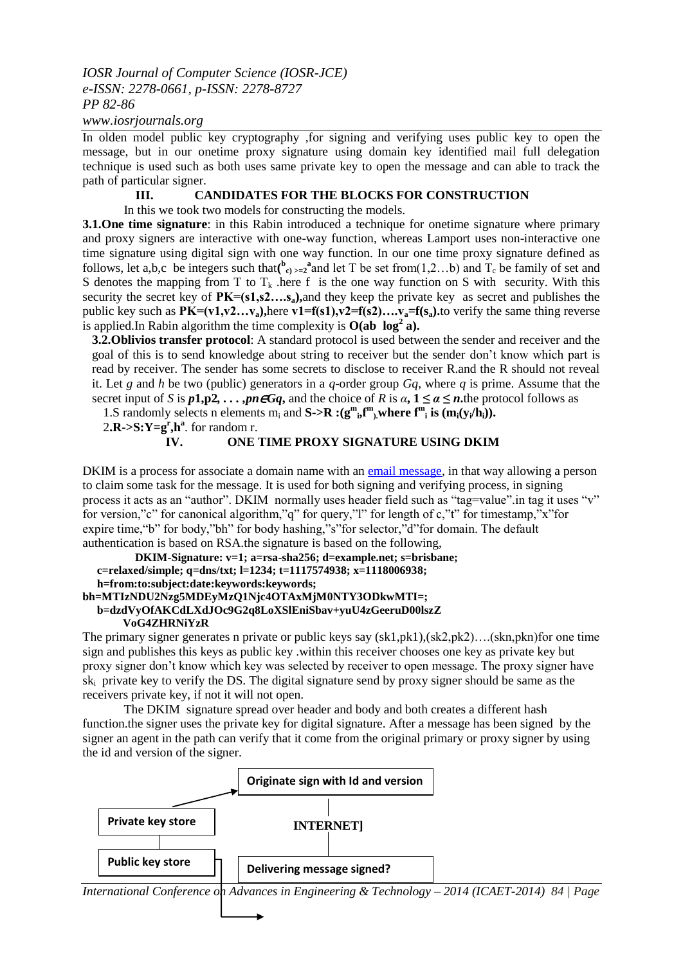# *IOSR Journal of Computer Science (IOSR-JCE) e-ISSN: 2278-0661, p-ISSN: 2278-8727 PP 82-86*

*www.iosrjournals.org*

In olden model public key cryptography ,for signing and verifying uses public key to open the message, but in our onetime proxy signature using domain key identified mail full delegation technique is used such as both uses same private key to open the message and can able to track the path of particular signer.

#### **III. CANDIDATES FOR THE BLOCKS FOR CONSTRUCTION**

In this we took two models for constructing the models.

**3.1. One time signature**: in this Rabin introduced a technique for onetime signature where primary and proxy signers are interactive with one-way function, whereas Lamport uses non-interactive one time signature using digital sign with one way function. In our one time proxy signature defined as follows, let a,b,c be integers such that  $\binom{b}{c}$  >=2<sup>a</sup> and let T be set from (1,2...b) and T<sub>c</sub> be family of set and S denotes the mapping from T to  $T_k$  here f is the one way function on S with security. With this security the secret key of **PK=(s1,s2….sa),**and they keep the private key as secret and publishes the public key such as  $PK=(v1,v2...v_a)$ , here  $v1=f(s1), v2=f(s2), \ldots, v_a=f(s_a)$ . to verify the same thing reverse is applied.In Rabin algorithm the time complexity is  $O(ab \log^2 a)$ .

**3.2.Oblivios transfer protocol**: A standard protocol is used between the sender and receiver and the goal of this is to send knowledge about string to receiver but the sender don't know which part is read by receiver. The sender has some secrets to disclose to receiver R.and the R should not reveal it. Let g and h be two (public) generators in a  $q$ -order group  $Gq$ , where q is prime. Assume that the secret input of *S* is  $p\mathbf{1}, p\mathbf{2}, \ldots, pn\epsilon Gq$ , and the choice of *R* is  $\alpha, \mathbf{1} \leq \alpha \leq n$ , the protocol follows as

1.S randomly selects n elements  $m_i$  and  $S > R$  : $(g^m{}_{i}f^m)$ , where  $f^m{}_{i}$  is  $(m_i(y_i/h_i))$ .

2. $\mathbf{R}$ -> $\mathbf{S}$ : $\mathbf{Y} = \mathbf{g}^{\mathbf{r}}$ ,  $\mathbf{h}^{\mathbf{a}}$ . for random r.

### **IV. ONE TIME PROXY SIGNATURE USING DKIM**

DKIM is a process for associate a domain name with an [email message,](http://en.wikipedia.org/wiki/Email_message) in that way allowing a person to claim some task for the message. It is used for both signing and verifying process, in signing process it acts as an "author". DKIM normally uses header field such as "tag=value".in tag it uses "v" for version,"c" for canonical algorithm,"q" for query,"l" for length of c,"t" for timestamp,"x"for expire time,"b" for body,"bh" for body hashing,"s"for selector,"d"for domain. The default authentication is based on RSA.the signature is based on the following,

```
DKIM-Signature: v=1; a=rsa-sha256; d=example.net; s=brisbane;
   c=relaxed/simple; q=dns/txt; l=1234; t=1117574938; x=1118006938;
   h=from:to:subject:date:keywords:keywords;
bh=MTIzNDU2Nzg5MDEyMzQ1Njc4OTAxMjM0NTY3ODkwMTI=;
   b=dzdVyOfAKCdLXdJOc9G2q8LoXSlEniSbav+yuU4zGeeruD00lszZ
        VoG4ZHRNiYzR
```
The primary signer generates n private or public keys say (sk1,pk1),(sk2,pk2)….(skn,pkn)for one time sign and publishes this keys as public key .within this receiver chooses one key as private key but proxy signer don't know which key was selected by receiver to open message. The proxy signer have ski private key to verify the DS. The digital signature send by proxy signer should be same as the receivers private key, if not it will not open.

The DKIM signature spread over header and body and both creates a different hash function.the signer uses the private key for digital signature. After a message has been signed by the signer an agent in the path can verify that it come from the original primary or proxy signer by using the id and version of the signer.

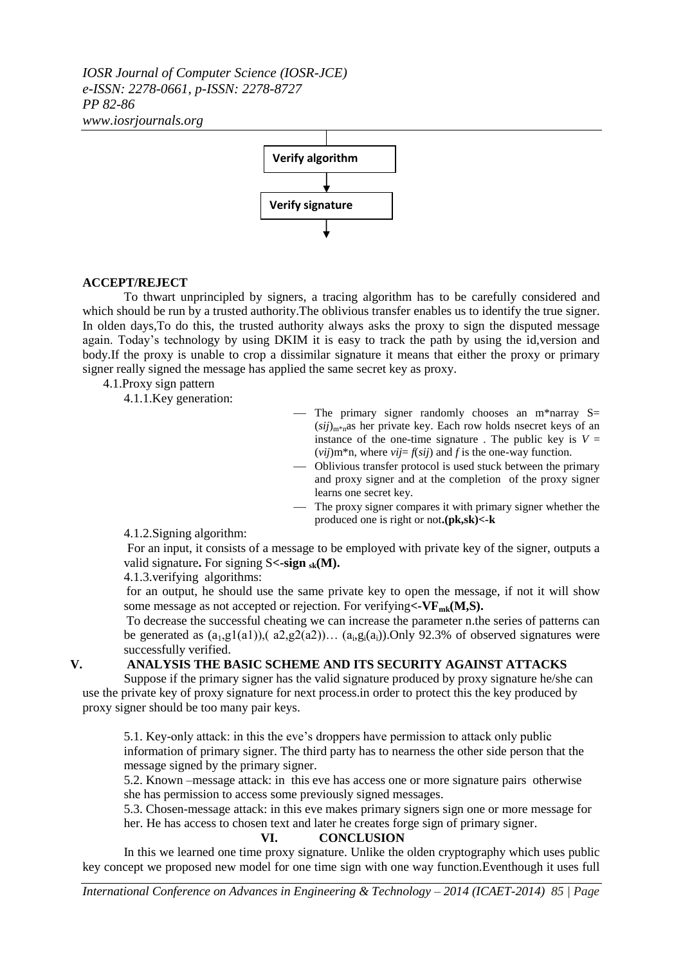*IOSR Journal of Computer Science (IOSR-JCE) e-ISSN: 2278-0661, p-ISSN: 2278-8727 PP 82-86 www.iosrjournals.org*



## **ACCEPT/REJECT**

To thwart unprincipled by signers, a tracing algorithm has to be carefully considered and which should be run by a trusted authority.The oblivious transfer enables us to identify the true signer. In olden days,To do this, the trusted authority always asks the proxy to sign the disputed message again. Today's technology by using DKIM it is easy to track the path by using the id,version and body.If the proxy is unable to crop a dissimilar signature it means that either the proxy or primary signer really signed the message has applied the same secret key as proxy.

4.1.Proxy sign pattern

4.1.1.Key generation:

- The primary signer randomly chooses an m\*narray  $S=$  $(sii)_{m*n}$ as her private key. Each row holds nsecret keys of an instance of the one-time signature. The public key is  $V =$  $(vij)$ m<sup>\*</sup>n, where  $vij = f(sij)$  and *f* is the one-way function.
- Oblivious transfer protocol is used stuck between the primary and proxy signer and at the completion of the proxy signer learns one secret key.
- The proxy signer compares it with primary signer whether the produced one is right or not**.(pk,sk)<-k**

4.1.2.Signing algorithm:

For an input, it consists of a message to be employed with private key of the signer, outputs a valid signature**.** For signing S**<-sign sk(M).**

4.1.3.verifying algorithms:

for an output, he should use the same private key to open the message, if not it will show some message as not accepted or rejection. For verifying**<-VFmk(M,S).**

To decrease the successful cheating we can increase the parameter n.the series of patterns can be generated as  $(a_1, g1(a1))$ ,  $(a_2, g2(a2))$ ...  $(a_i, g_i(a_i))$ . Only 92.3% of observed signatures were successfully verified.

## **V. ANALYSIS THE BASIC SCHEME AND ITS SECURITY AGAINST ATTACKS**

Suppose if the primary signer has the valid signature produced by proxy signature he/she can use the private key of proxy signature for next process.in order to protect this the key produced by proxy signer should be too many pair keys.

5.1. Key-only attack: in this the eve's droppers have permission to attack only public information of primary signer. The third party has to nearness the other side person that the message signed by the primary signer.

5.2. Known –message attack: in this eve has access one or more signature pairs otherwise she has permission to access some previously signed messages.

5.3. Chosen-message attack: in this eve makes primary signers sign one or more message for her. He has access to chosen text and later he creates forge sign of primary signer.

#### **VI. CONCLUSION**

In this we learned one time proxy signature. Unlike the olden cryptography which uses public key concept we proposed new model for one time sign with one way function.Eventhough it uses full